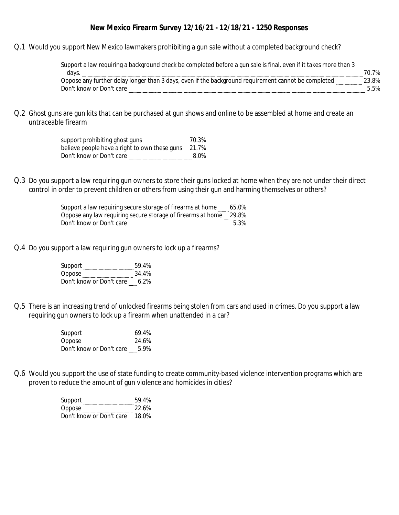#### **New Mexico Firearm Survey 12/16/21 - 12/18/21 - 1250 Responses**

Q.1 Would you support New Mexico lawmakers prohibiting a gun sale without a completed background check?

| Support a law requiring a background check be completed before a gun sale is final, even if it takes more than 3 |
|------------------------------------------------------------------------------------------------------------------|
| 70.7%                                                                                                            |
| 3.8%                                                                                                             |
|                                                                                                                  |
|                                                                                                                  |

Q.2 Ghost guns are gun kits that can be purchased at gun shows and online to be assembled at home and create an untraceable firearm

> support prohibiting ghost guns 70.3% believe people have a right to own these guns 21.7% Don't know or Don't care **Example 2018** 8.0%

Q.3 Do you support a law requiring gun owners to store their guns locked at home when they are not under their direct control in order to prevent children or others from using their gun and harming themselves or others?

> Support a law requiring secure storage of firearms at home 65.0% Oppose any law requiring secure storage of firearms at home 29.8% Don't know or Don't care 5.3%

Q.4 Do you support a law requiring gun owners to lock up a firearms?

| Support                  | 59.4% |  |
|--------------------------|-------|--|
| Oppose                   | 34.4% |  |
| Don't know or Don't care | 6.2%  |  |

Q.5 There is an increasing trend of unlocked firearms being stolen from cars and used in crimes. Do you support a law requiring gun owners to lock up a firearm when unattended in a car?

| Support                  | 69.4% |  |
|--------------------------|-------|--|
| Oppose                   | 24.6% |  |
| Don't know or Don't care | 5.9%  |  |

Q.6 Would you support the use of state funding to create community-based violence intervention programs which are proven to reduce the amount of gun violence and homicides in cities?

> Support 59.4% Oppose 22.6% Don't know or Don't care 18.0%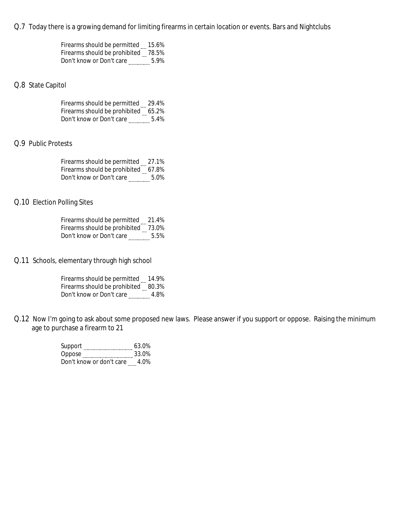Q.7 Today there is a growing demand for limiting firearms in certain location or events. Bars and Nightclubs

| Firearms should be permitted 15.6%  |      |  |
|-------------------------------------|------|--|
| Firearms should be prohibited 78.5% |      |  |
| Don't know or Don't care            | 5.9% |  |

### Q.8 State Capitol

| Firearms should be permitted 29.4%  |      |  |
|-------------------------------------|------|--|
| Firearms should be prohibited 65.2% |      |  |
| Don't know or Don't care            | 5.4% |  |

### Q.9 Public Protests

| Firearms should be permitted 27.1%  |      |  |
|-------------------------------------|------|--|
| Firearms should be prohibited 67.8% |      |  |
| Don't know or Don't care            | 5.0% |  |

### Q.10 Election Polling Sites

| Firearms should be permitted 21.4%  |      |  |
|-------------------------------------|------|--|
| Firearms should be prohibited 73.0% |      |  |
| Don't know or Don't care            | 5.5% |  |

Q.11 Schools, elementary through high school

| Firearms should be permitted        | 14.9% |  |
|-------------------------------------|-------|--|
| Firearms should be prohibited 80.3% |       |  |
| Don't know or Don't care            | 4.8%  |  |

Q.12 Now I'm going to ask about some proposed new laws. Please answer if you support or oppose. Raising the minimum age to purchase a firearm to 21

| Support                  | 63.0% |  |
|--------------------------|-------|--|
| Oppose                   | 33.0% |  |
| Don't know or don't care | 4.0%  |  |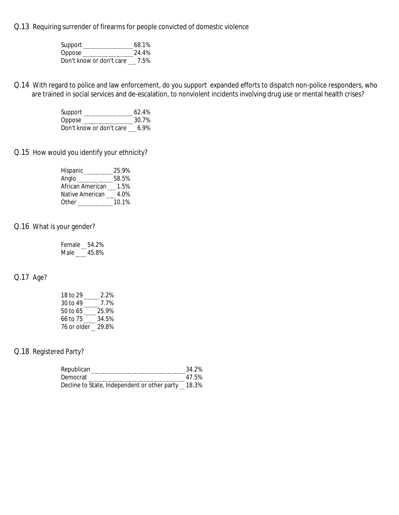Q.13 Requiring surrender of firearms for people convicted of domestic violence

| Support                  | 68.1% |  |
|--------------------------|-------|--|
| Oppose                   | 24.4% |  |
| Don't know or don't care | 7.5%  |  |

Q.14 With regard to police and law enforcement, do you support expanded efforts to dispatch non-police responders, who are trained in social services and de-escalation, to nonviolent incidents involving drug use or mental health crises?

| Support                  | 62.4%   |  |
|--------------------------|---------|--|
| Oppose                   | 30.7%   |  |
| Don't know or don't care | $6.9\%$ |  |

Q.15 How would you identify your ethnicity?

| Hispanic         | 25.9% |  |
|------------------|-------|--|
| Anglo            | 58.5% |  |
| African American | 1.5%  |  |
| Native American  | 4.0%  |  |
| Other            | 10.1% |  |

# Q.16 What is your gender?

| Female 54.2% |       |
|--------------|-------|
| Male         | 45.8% |

# Q.17 Age?

| 18 to 29          | 2.2%  |  |
|-------------------|-------|--|
| 30 to 49          | 7.7%  |  |
| 50 to 65          | 25.9% |  |
| 66 to 75          | 34.5% |  |
| 76 or older 29.8% |       |  |

# Q.18 Registered Party?

| Republican                                         | 34.2% |
|----------------------------------------------------|-------|
| Democrat                                           | 47.5% |
| Decline to State, Independent or other party 18.3% |       |